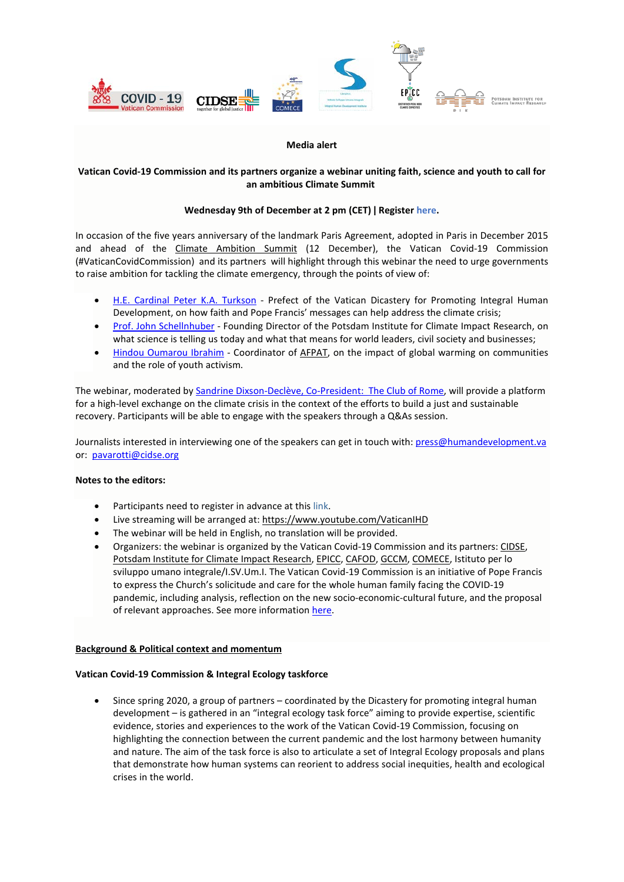

#### **Media alert**

# **Vatican Covid-19 Commission and its partners organize a webinar uniting faith, science and youth to call for an ambitious Climate Summit**

## **Wednesday 9th of December at 2 pm (CET) ǀ Registe[r here.](https://zoom.us/webinar/register/WN_HZEWWe1SQjyNetvgKKatIw)**

In occasion of the five years anniversary of the landmark Paris Agreement, adopted in Paris in December 2015 and ahead of the [Climate Ambition](https://enb.iisd.org/climate/ambition-summit-2020/about.html) Summit (12 December), the Vatican Covid-19 Commission (#VaticanCovidCommission) and its partners will highlight through this webinar the need to urge governments to raise ambition for tackling the climate emergency, through the points of view of:

- [H.E. Cardinal Peter K.A. Turkson](https://press.vatican.va/content/salastampa/en/documentation/cardinali_biografie/cardinali_bio_turkson_pka.html) Prefect of the Vatican Dicastery for Promoting Integral Human Development, on how faith and Pope Francis' messages can help address the climate crisis;
- [Prof. John Schellnhuber](https://www.pik-potsdam.de/members/john/homepage) Founding Director of the Potsdam Institute for Climate Impact Research, on what science is telling us today and what that means for world leaders, civil society and businesses;
- [Hindou Oumarou Ibrahim](https://www.linkedin.com/in/hindou-oumarou-ibrahim-2ba22410/?originalSubdomain=td) Coordinator of [AFPAT,](http://www.afpat.net/) on the impact of global warming on communities and the role of youth activism.

The webinar, moderated by [Sandrine Dixson-Declève, Co-President: The Club of Rome,](https://clubofrome.org/member/dixson-decleve-sandrine/) will provide a platform for a high-level exchange on the climate crisis in the context of the efforts to build a just and sustainable recovery. Participants will be able to engage with the speakers through a Q&As session.

Journalists interested in interviewing one of the speakers can get in touch with[: press@humandevelopment.va](mailto:press@humandevelopment.va)  or: [pavarotti@cidse.org](mailto:pavarotti@cidse.org)

## **Notes to the editors:**

- Participants need to register in advance at this [link.](https://zoom.us/webinar/register/WN_HZEWWe1SQjyNetvgKKatIw)
- Live streaming will be arranged at: <https://www.youtube.com/VaticanIHD>
- The webinar will be held in English, no translation will be provided.
- Organizers: the webinar is organized by the Vatican Covid-19 Commission and its partners[: CIDSE,](http://www.cidse.org/) [Potsdam Institute for Climate Impact Research,](https://www.pik-potsdam.de/en/home) [EPICC,](https://www.pik-potsdam.de/en/institute/departments/activities/epicc) [CAFOD,](https://cafod.org.uk/) [GCCM,](https://catholicclimatemovement.global/) [COMECE,](http://www.comece.eu/site/en/home) Istituto per lo sviluppo umano integrale/I.SV.Um.I. The Vatican Covid-19 Commission is an initiative of Pope Francis to express the Church's solicitude and care for the whole human family facing the COVID-19 pandemic, including analysis, reflection on the new socio-economic-cultural future, and the proposal of relevant approaches. See more information [here.](http://www.humandevelopment.va/en/vatican-covid-19.html)

## **Background & Political context and momentum**

## **Vatican Covid-19 Commission & Integral Ecology taskforce**

• Since spring 2020, a group of partners – coordinated by the Dicastery for promoting integral human development – is gathered in an "integral ecology task force" aiming to provide expertise, scientific evidence, stories and experiences to the work of the Vatican Covid-19 Commission, focusing on highlighting the connection between the current pandemic and the lost harmony between humanity and nature. The aim of the task force is also to articulate a set of Integral Ecology proposals and plans that demonstrate how human systems can reorient to address social inequities, health and ecological crises in the world.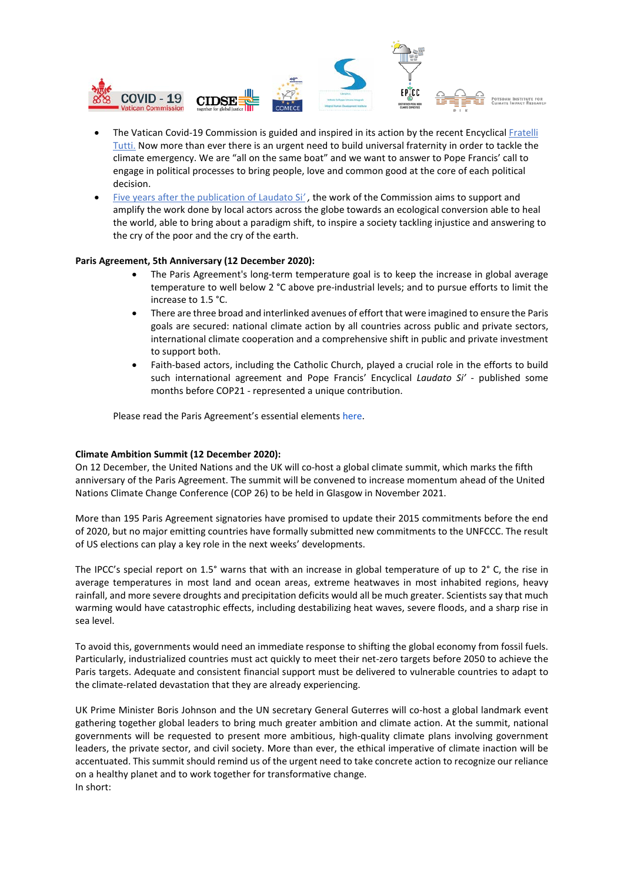

- The Vatican Covid-19 Commission is guided and inspired in its action by the recent Encyclica[l Fratelli](http://www.humandevelopment.va/en/fratelli-tutti.html)  [Tutti.](http://www.humandevelopment.va/en/fratelli-tutti.html) Now more than ever there is an urgent need to build universal fraternity in order to tackle the climate emergency. We are "all on the same boat" and we want to answer to Pope Francis' call to engage in political processes to bring people, love and common good at the core of each political decision.
- [Five years after the publication of Laudato Si](http://www.humandevelopment.va/en/news/laudato-si-special-anniversary-year-plan.html)*' ,* the work of the Commission aims to support and amplify the work done by local actors across the globe towards an ecological conversion able to heal the world, able to bring about a paradigm shift, to inspire a society tackling injustice and answering to the cry of the poor and the cry of the earth.

#### **Paris Agreement, 5th Anniversary (12 December 2020):**

- The Paris Agreement's long-term temperature goal is to keep the increase in global average temperature to well below 2 °C above pre-industrial levels; and to pursue efforts to limit the increase to 1.5 °C.
- There are three broad and interlinked avenues of effort that were imagined to ensure the Paris goals are secured: national climate action by all countries across public and private sectors, international climate cooperation and a comprehensive shift in public and private investment to support both.
- Faith-based actors, including the Catholic Church, played a crucial role in the efforts to build such international agreement and Pope Francis' Encyclical *Laudato Si'* - published some months before COP21 - represented a unique contribution.

Please read the Paris Agreement's essential elements [here.](https://unfccc.int/process-and-meetings/the-paris-agreement/the-paris-agreement)

## **Climate Ambition Summit (12 December 2020):**

On 12 December, the United Nations and the UK will co-host a global climate summit, which marks the fifth anniversary of the Paris Agreement. The summit will be convened to increase momentum ahead of the United Nations Climate Change Conference (COP 26) to be held in Glasgow in November 2021.

More than 195 Paris Agreement signatories have promised to update their 2015 commitments before the end of 2020, but no major emitting countries have formally submitted new commitments to the UNFCCC. The result of US elections can play a key role in the next weeks' developments.

The IPCC's special report on 1.5° warns that with an increase in global temperature of up to 2° C, the rise in average temperatures in most land and ocean areas, extreme heatwaves in most inhabited regions, heavy rainfall, and more severe droughts and precipitation deficits would all be much greater. Scientists say that much warming would have catastrophic effects, including destabilizing heat waves, severe floods, and a sharp rise in sea level.

To avoid this, governments would need an immediate response to shifting the global economy from fossil fuels. Particularly, industrialized countries must act quickly to meet their net-zero targets before 2050 to achieve the Paris targets. Adequate and consistent financial support must be delivered to vulnerable countries to adapt to the climate-related devastation that they are already experiencing.

UK Prime Minister Boris Johnson and the UN secretary General Guterres will co-host a global landmark event gathering together global leaders to bring much greater ambition and climate action. At the summit, national governments will be requested to present more ambitious, high-quality climate plans involving government leaders, the private sector, and civil society. More than ever, the ethical imperative of climate inaction will be accentuated. This summit should remind us of the urgent need to take concrete action to recognize our reliance on a healthy planet and to work together for transformative change. In short: